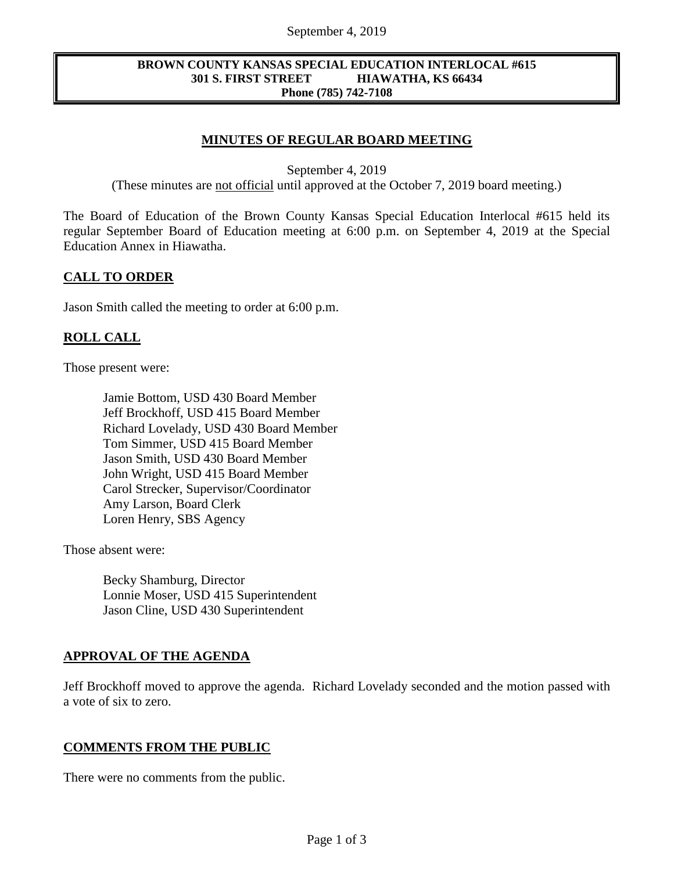### September 4, 2019

#### **BROWN COUNTY KANSAS SPECIAL EDUCATION INTERLOCAL #615 301 S. FIRST STREET HIAWATHA, KS 66434 Phone (785) 742-7108**

# **MINUTES OF REGULAR BOARD MEETING**

September 4, 2019

(These minutes are not official until approved at the October 7, 2019 board meeting.)

The Board of Education of the Brown County Kansas Special Education Interlocal #615 held its regular September Board of Education meeting at 6:00 p.m. on September 4, 2019 at the Special Education Annex in Hiawatha.

### **CALL TO ORDER**

Jason Smith called the meeting to order at 6:00 p.m.

### **ROLL CALL**

Those present were:

Jamie Bottom, USD 430 Board Member Jeff Brockhoff, USD 415 Board Member Richard Lovelady, USD 430 Board Member Tom Simmer, USD 415 Board Member Jason Smith, USD 430 Board Member John Wright, USD 415 Board Member Carol Strecker, Supervisor/Coordinator Amy Larson, Board Clerk Loren Henry, SBS Agency

Those absent were:

Becky Shamburg, Director Lonnie Moser, USD 415 Superintendent Jason Cline, USD 430 Superintendent

# **APPROVAL OF THE AGENDA**

Jeff Brockhoff moved to approve the agenda. Richard Lovelady seconded and the motion passed with a vote of six to zero.

### **COMMENTS FROM THE PUBLIC**

There were no comments from the public.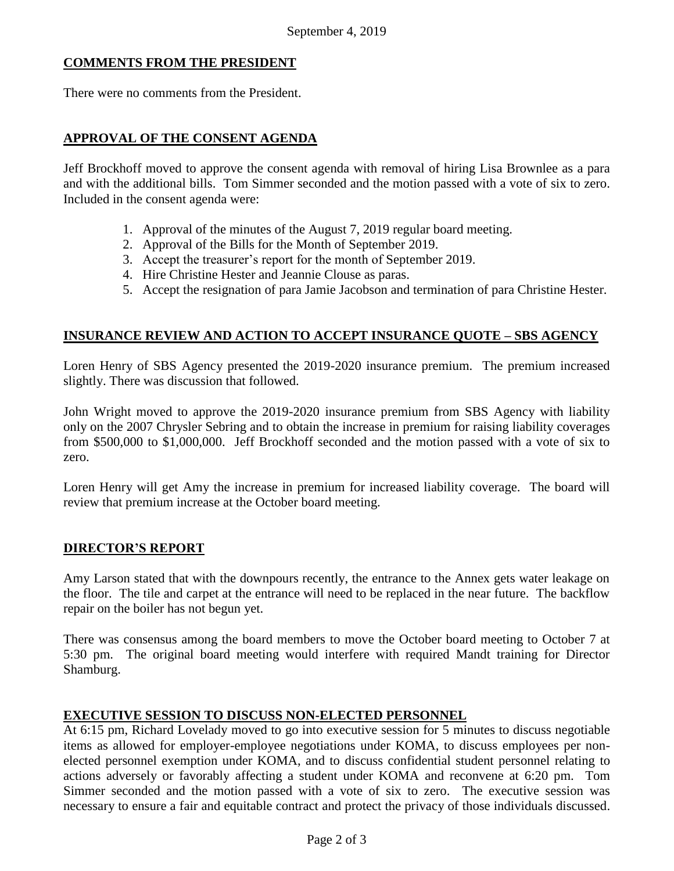# **COMMENTS FROM THE PRESIDENT**

There were no comments from the President.

## **APPROVAL OF THE CONSENT AGENDA**

Jeff Brockhoff moved to approve the consent agenda with removal of hiring Lisa Brownlee as a para and with the additional bills. Tom Simmer seconded and the motion passed with a vote of six to zero. Included in the consent agenda were:

- 1. Approval of the minutes of the August 7, 2019 regular board meeting.
- 2. Approval of the Bills for the Month of September 2019.
- 3. Accept the treasurer's report for the month of September 2019.
- 4. Hire Christine Hester and Jeannie Clouse as paras.
- 5. Accept the resignation of para Jamie Jacobson and termination of para Christine Hester.

# **INSURANCE REVIEW AND ACTION TO ACCEPT INSURANCE QUOTE – SBS AGENCY**

Loren Henry of SBS Agency presented the 2019-2020 insurance premium. The premium increased slightly. There was discussion that followed.

John Wright moved to approve the 2019-2020 insurance premium from SBS Agency with liability only on the 2007 Chrysler Sebring and to obtain the increase in premium for raising liability coverages from \$500,000 to \$1,000,000. Jeff Brockhoff seconded and the motion passed with a vote of six to zero.

Loren Henry will get Amy the increase in premium for increased liability coverage. The board will review that premium increase at the October board meeting.

# **DIRECTOR'S REPORT**

Amy Larson stated that with the downpours recently, the entrance to the Annex gets water leakage on the floor. The tile and carpet at the entrance will need to be replaced in the near future. The backflow repair on the boiler has not begun yet.

There was consensus among the board members to move the October board meeting to October 7 at 5:30 pm. The original board meeting would interfere with required Mandt training for Director Shamburg.

### **EXECUTIVE SESSION TO DISCUSS NON-ELECTED PERSONNEL**

At 6:15 pm, Richard Lovelady moved to go into executive session for 5 minutes to discuss negotiable items as allowed for employer-employee negotiations under KOMA, to discuss employees per nonelected personnel exemption under KOMA, and to discuss confidential student personnel relating to actions adversely or favorably affecting a student under KOMA and reconvene at 6:20 pm. Tom Simmer seconded and the motion passed with a vote of six to zero. The executive session was necessary to ensure a fair and equitable contract and protect the privacy of those individuals discussed.